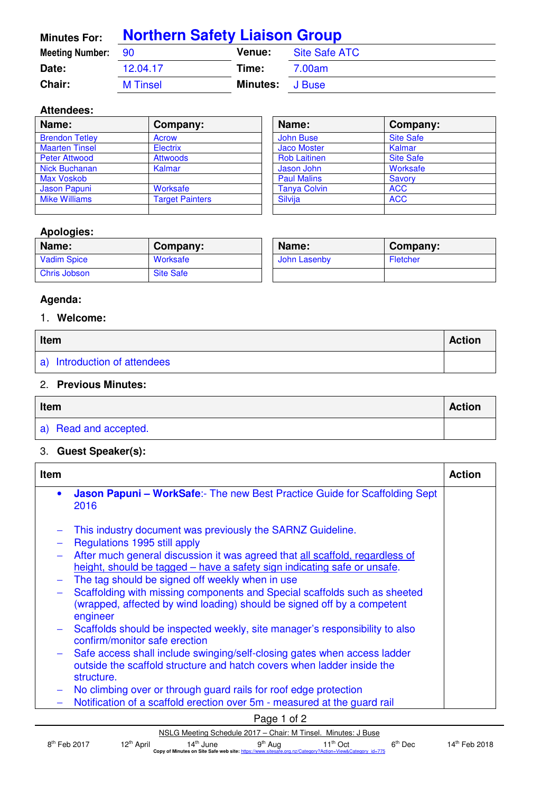| <b>Minutes For:</b>       | <b>Northern Safety Liaison Group</b> |                 |               |
|---------------------------|--------------------------------------|-----------------|---------------|
| <b>Meeting Number: 90</b> |                                      | <b>Venue:</b>   | Site Safe ATC |
| Date:                     | 12.04.17                             | Time:           | 7.00am        |
| <b>Chair:</b>             | <b>M</b> Tinsel                      | <b>Minutes:</b> | J Buse        |

## **Attendees:**

| Name:                 | Company:               | Name:               | Company:         |
|-----------------------|------------------------|---------------------|------------------|
| <b>Brendon Tetley</b> | Acrow                  | <b>John Buse</b>    | <b>Site Safe</b> |
| <b>Maarten Tinsel</b> | Electrix               | <b>Jaco Moster</b>  | Kalmar           |
| <b>Peter Attwood</b>  | <b>Attwoods</b>        | <b>Rob Laitinen</b> | <b>Site Safe</b> |
| Nick Buchanan         | Kalmar                 | Jason John          | Worksafe         |
| Max Voskob            |                        | <b>Paul Malins</b>  | Savory           |
| Jason Papuni          | Worksafe               | <b>Tanya Colvin</b> | <b>ACC</b>       |
| <b>Mike Williams</b>  | <b>Target Painters</b> | Silvija             | <b>ACC</b>       |
|                       |                        |                     |                  |

## **Apologies:**

| Name:              | Company:         | Name:        | Company: |
|--------------------|------------------|--------------|----------|
| <b>Vadim Spice</b> | Worksafe         | John Lasenby | Fletcher |
| Chris Jobson       | <b>Site Safe</b> |              |          |

# **Agenda:**

# 1. **Welcome:**

| Item                         |  |
|------------------------------|--|
| a) Introduction of attendees |  |

#### 2. **Previous Minutes:**

| Item                  |  |
|-----------------------|--|
| a) Read and accepted. |  |

# 3. **Guest Speaker(s):**

| Item      |                                                                                                                                                                  | <b>Action</b> |
|-----------|------------------------------------------------------------------------------------------------------------------------------------------------------------------|---------------|
| $\bullet$ | <b>Jason Papuni – WorkSafe:-</b> The new Best Practice Guide for Scaffolding Sept<br>2016                                                                        |               |
|           | This industry document was previously the SARNZ Guideline.                                                                                                       |               |
|           | Regulations 1995 still apply                                                                                                                                     |               |
|           | After much general discussion it was agreed that all scaffold, regardless of<br>height, should be tagged – have a safety sign indicating safe or unsafe.         |               |
|           | The tag should be signed off weekly when in use                                                                                                                  |               |
|           | Scaffolding with missing components and Special scaffolds such as sheeted<br>(wrapped, affected by wind loading) should be signed off by a competent<br>engineer |               |
|           | Scaffolds should be inspected weekly, site manager's responsibility to also<br>confirm/monitor safe erection                                                     |               |
|           | Safe access shall include swinging/self-closing gates when access ladder<br>outside the scaffold structure and hatch covers when ladder inside the<br>structure. |               |
|           | No climbing over or through guard rails for roof edge protection                                                                                                 |               |
|           | Notification of a scaffold erection over 5m - measured at the guard rail                                                                                         |               |
|           | Page 1 of 2                                                                                                                                                      |               |

|                |                        |                       | $\frac{1}{2}$       |                                                                                                         |           |                           |
|----------------|------------------------|-----------------------|---------------------|---------------------------------------------------------------------------------------------------------|-----------|---------------------------|
|                |                        |                       |                     | NSLG Meeting Schedule 2017 – Chair: M Tinsel. Minutes: J Buse                                           |           |                           |
| $8th$ Feb 2017 | 12 <sup>th</sup> April | 14 <sup>th</sup> June | 9 <sup>th</sup> Aug | $11^{th}$ Oct                                                                                           | $6th$ Dec | 14 <sup>th</sup> Feb 2018 |
|                |                        |                       |                     | Copy of Minutes on Site Safe web site: https://www.sitesafe.org.nz/Category?Action=View&Category id=775 |           |                           |